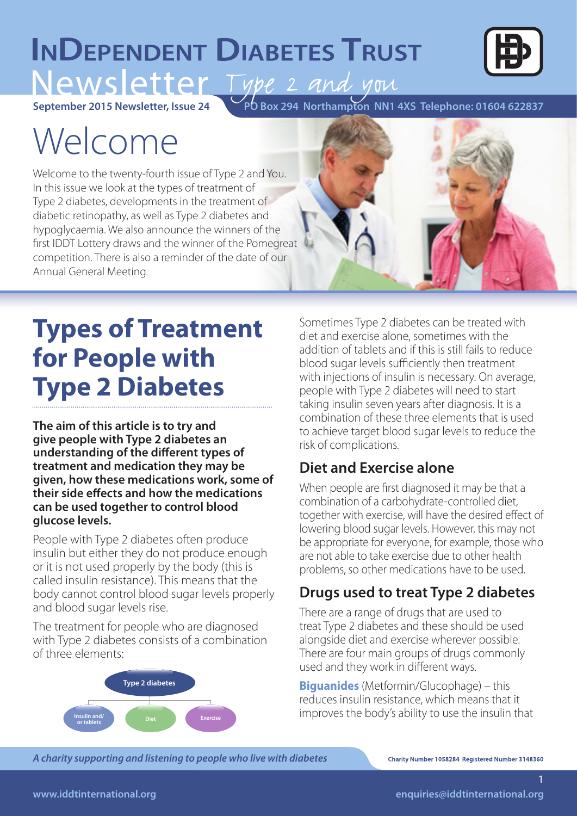# **INDEPENDENT DIABETES TRUST** Newsletter Type 2 and you



**September 2015 Newsletter, Issue 24**

**PO Box 294 Northampton NN1 4XS Telephone: 01604 622837** 

# Welcome

Welcome to the twenty-fourth issue of Type 2 and You. In this issue we look at the types of treatment of Type 2 diabetes, developments in the treatment of diabetic retinopathy, as well as Type 2 diabetes and hypoglycaemia. We also announce the winners of the first IDDT Lottery draws and the winner of the Pomegreat competition. There is also a reminder of the date of our Annual General Meeting.



## **Types of Treatment for People with Type 2 Diabetes**

**The aim of this article is to try and give people with Type 2 diabetes an understanding of the different types of treatment and medication they may be given, how these medications work, some of their side effects and how the medications can be used together to control blood glucose levels.**

People with Type 2 diabetes often produce insulin but either they do not produce enough or it is not used properly by the body (this is called insulin resistance). This means that the body cannot control blood sugar levels properly and blood sugar levels rise.

The treatment for people who are diagnosed with Type 2 diabetes consists of a combination of three elements:



Sometimes Type 2 diabetes can be treated with diet and exercise alone, sometimes with the addition of tablets and if this is still fails to reduce blood sugar levels sufficiently then treatment with injections of insulin is necessary. On average, people with Type 2 diabetes will need to start taking insulin seven years after diagnosis. It is a combination of these three elements that is used to achieve target blood sugar levels to reduce the risk of complications.

## **Diet and Exercise alone**

When people are first diagnosed it may be that a combination of a carbohydrate-controlled diet, together with exercise, will have the desired effect of lowering blood sugar levels. However, this may not be appropriate for everyone, for example, those who are not able to take exercise due to other health problems, so other medications have to be used.

## **Drugs used to treat Type 2 diabetes**

There are a range of drugs that are used to treat Type 2 diabetes and these should be used alongside diet and exercise wherever possible. There are four main groups of drugs commonly used and they work in different ways.

**Biguanides** (Metformin/Glucophage) – this reduces insulin resistance, which means that it improves the body's ability to use the insulin that

*A charity supporting and listening to people who live with diabetes A charity supporting and listening to people who live with diabetes A charity supporting and listening to people with diabetes*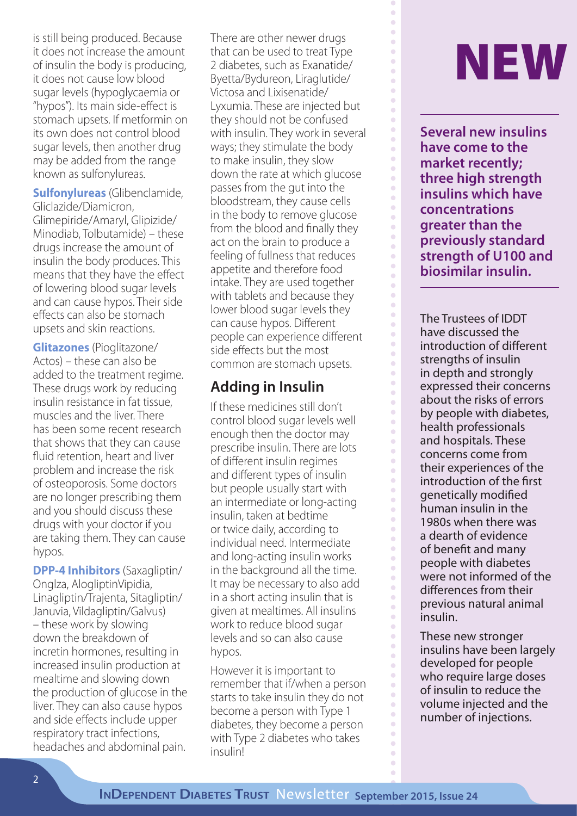is still being produced. Because it does not increase the amount of insulin the body is producing, it does not cause low blood sugar levels (hypoglycaemia or "hypos"). Its main side-effect is stomach upsets. If metformin on its own does not control blood sugar levels, then another drug may be added from the range known as sulfonylureas.

**Sulfonylureas** (Glibenclamide, Gliclazide/Diamicron, Glimepiride/Amaryl, Glipizide/ Minodiab, Tolbutamide) – these drugs increase the amount of insulin the body produces. This means that they have the effect of lowering blood sugar levels and can cause hypos. Their side effects can also be stomach upsets and skin reactions.

**Glitazones** (Pioglitazone/ Actos) – these can also be added to the treatment regime. These drugs work by reducing insulin resistance in fat tissue, muscles and the liver. There has been some recent research that shows that they can cause fluid retention, heart and liver problem and increase the risk of osteoporosis. Some doctors are no longer prescribing them and you should discuss these drugs with your doctor if you are taking them. They can cause hypos.

**DPP-4 Inhibitors** (Saxagliptin/ Onglza, AlogliptinVipidia, Linagliptin/Trajenta, Sitagliptin/ Januvia, Vildagliptin/Galvus) – these work by slowing down the breakdown of incretin hormones, resulting in increased insulin production at mealtime and slowing down the production of glucose in the liver. They can also cause hypos and side effects include upper respiratory tract infections, headaches and abdominal pain.

There are other newer drugs<br>that can be used to treat Type<br>2 diabetes, such as Exanatide/<br>Byetta/Bydureon, Liraglutide/ that can be used to treat Type 2 diabetes, such as Exanatide/ Byetta/Bydureon, Liraglutide/ Victosa and Lixisenatide/ Lyxumia. These are injected but they should not be confused with insulin. They work in several ways; they stimulate the body to make insulin, they slow down the rate at which glucose passes from the gut into the bloodstream, they cause cells in the body to remove glucose from the blood and finally they act on the brain to produce a feeling of fullness that reduces appetite and therefore food intake. They are used together with tablets and because they lower blood sugar levels they can cause hypos. Different people can experience different side effects but the most common are stomach upsets.

### **Adding in Insulin**

If these medicines still don't control blood sugar levels well enough then the doctor may prescribe insulin. There are lots of different insulin regimes and different types of insulin but people usually start with an intermediate or long-acting insulin, taken at bedtime or twice daily, according to individual need. Intermediate and long-acting insulin works in the background all the time. It may be necessary to also add in a short acting insulin that is given at mealtimes. All insulins work to reduce blood sugar levels and so can also cause hypos.

However it is important to remember that if/when a person starts to take insulin they do not become a person with Type 1 diabetes, they become a person with Type 2 diabetes who takes insulin!

 $\overline{\phantom{a}}$ 

 $\bullet$  $\bullet$  $\bullet$  $\bullet$  $\bullet$  $\bullet$  $\bullet$  $\bullet$  $\bullet$  $\bullet$  $\bullet$  $\bullet$  $\bullet$  $\bullet$  $\bullet$  $\bullet$  $\bullet$  $\bullet$  $\bullet$  $\bullet$  $\bullet$  $\bullet$  $\bullet$  $\bullet$  $\bullet$  $\bullet$  $\bullet$  $\bullet$  $\bullet$  $\bullet$  $\bullet$  $\bullet$  $\bullet$  $\bullet$  $\bullet$  $\bullet$  $\bullet$  $\bullet$  $\bullet$  $\ddot{\phantom{0}}$  $\bullet$  $\bullet$  $\bullet$  $\bullet$  $\bullet$  $\bullet$  $\bullet$  $\bullet$  $\bullet$  $\bullet$  $\bullet$  $\bullet$  $\ddot{\phantom{a}}$  $\bullet$  $\bullet$  $\bullet$  $\bullet$  $\bullet$  $\bullet$  $\bullet$  $\bullet$  $\bullet$  $\bullet$  $\bullet$  $\bullet$  $\bullet$  $\ddot{\phantom{0}}$  $\begin{array}{c} \bullet \\ \bullet \end{array}$  $\overline{\phantom{0}}$ 

**Several new insulins have come to the market recently; three high strength insulins which have concentrations greater than the previously standard strength of U100 and biosimilar insulin.** 

The Trustees of IDDT have discussed the introduction of different strengths of insulin in depth and strongly expressed their concerns about the risks of errors by people with diabetes, health professionals and hospitals. These concerns come from their experiences of the introduction of the first genetically modified human insulin in the 1980s when there was a dearth of evidence of benefit and many people with diabetes were not informed of the differences from their previous natural animal insulin.

These new stronger insulins have been largely developed for people who require large doses of insulin to reduce the volume injected and the number of injections.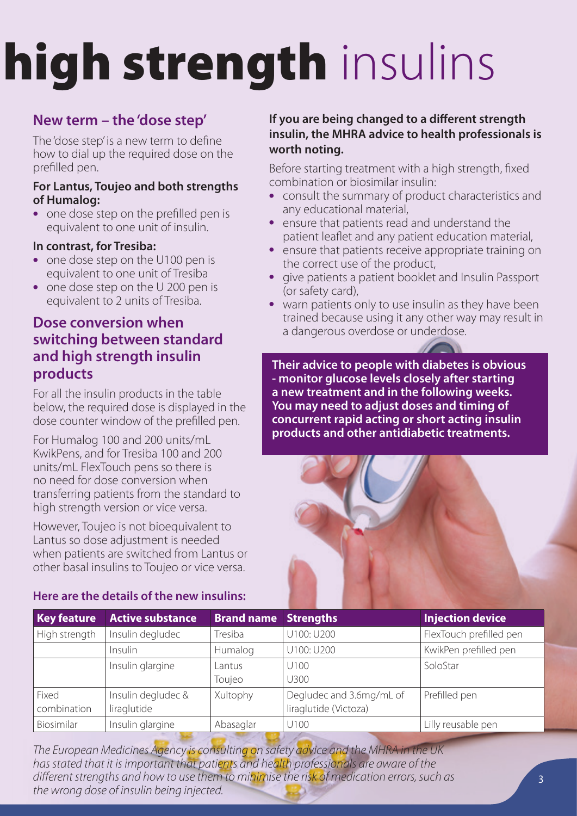# high strength insulins

## **New term – the 'dose step'**

The 'dose step' is a new term to define how to dial up the required dose on the prefilled pen.

#### **For Lantus, Toujeo and both strengths of Humalog:**

• one dose step on the prefilled pen is equivalent to one unit of insulin.

#### **In contrast, for Tresiba:**

- one dose step on the U100 pen is equivalent to one unit of Tresiba
- one dose step on the U 200 pen is equivalent to 2 units of Tresiba.

### **Dose conversion when switching between standard and high strength insulin products**

For all the insulin products in the table below, the required dose is displayed in the dose counter window of the prefilled pen.

For Humalog 100 and 200 units/mL KwikPens, and for Tresiba 100 and 200 units/mL FlexTouch pens so there is no need for dose conversion when transferring patients from the standard to high strength version or vice versa.

However, Toujeo is not bioequivalent to Lantus so dose adjustment is needed when patients are switched from Lantus or other basal insulins to Toujeo or vice versa.

#### **Here are the details of the new insulins:**

#### **If you are being changed to a different strength insulin, the MHRA advice to health professionals is worth noting.**

Before starting treatment with a high strength, fixed combination or biosimilar insulin:

- consult the summary of product characteristics and any educational material,
- ensure that patients read and understand the patient leaflet and any patient education material,
- ensure that patients receive appropriate training on the correct use of the product,
- give patients a patient booklet and Insulin Passport (or safety card),
- warn patients only to use insulin as they have been trained because using it any other way may result in a dangerous overdose or underdose.

**Their advice to people with diabetes is obvious - monitor glucose levels closely after starting a new treatment and in the following weeks. You may need to adjust doses and timing of concurrent rapid acting or short acting insulin products and other antidiabetic treatments.**



| <b>Key feature</b> | <b>Active substance</b> | <b>Brand name</b> | <b>Strengths</b>         | <b>Injection device</b> |
|--------------------|-------------------------|-------------------|--------------------------|-------------------------|
| High strength      | Insulin degludec        | Tresiba           | U100: U200               | FlexTouch prefilled pen |
|                    | Insulin                 | Humalog           | U100: U200               | KwikPen prefilled pen   |
|                    | Insulin glargine        | Lantus            | U100                     | SoloStar                |
|                    |                         | Toujeo            | U300                     |                         |
| Fixed              | Insulin degludec &      | Xultophy          | Degludec and 3.6mg/mL of | Prefilled pen           |
| combination        | liraglutide             |                   | liraglutide (Victoza)    |                         |
| Biosimilar         | Insulin glargine        | Abasaglar         | U100                     | Lilly reusable pen      |

*The European Medicines Agency is consulting on safety advice and the MHRA in the UK has stated that it is important that patients and health professionals are aware of the different strengths and how to use them to minimise the risk of medication errors, such as the wrong dose of insulin being injected.*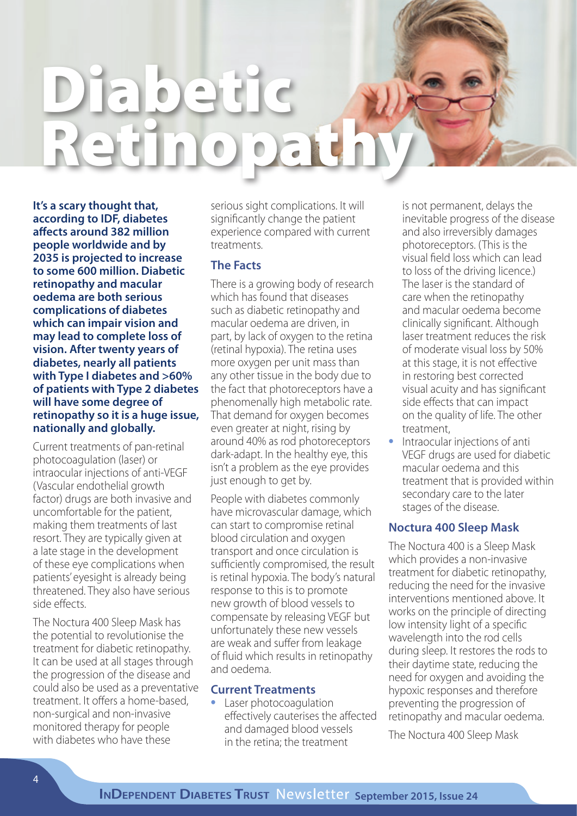# Diabetic Retinopathy

**It's a scary thought that, according to IDF, diabetes affects around 382 million people worldwide and by 2035 is projected to increase to some 600 million. Diabetic retinopathy and macular oedema are both serious complications of diabetes which can impair vision and may lead to complete loss of vision. After twenty years of diabetes, nearly all patients with Type I diabetes and >60% of patients with Type 2 diabetes will have some degree of retinopathy so it is a huge issue, nationally and globally.**

Current treatments of pan-retinal photocoagulation (laser) or intraocular injections of anti-VEGF (Vascular endothelial growth factor) drugs are both invasive and uncomfortable for the patient, making them treatments of last resort. They are typically given at a late stage in the development of these eye complications when patients' eyesight is already being threatened. They also have serious side effects.

The Noctura 400 Sleep Mask has the potential to revolutionise the treatment for diabetic retinopathy. It can be used at all stages through the progression of the disease and could also be used as a preventative treatment. It offers a home-based, non-surgical and non-invasive monitored therapy for people with diabetes who have these

serious sight complications. It will significantly change the patient experience compared with current treatments.

#### **The Facts**

There is a growing body of research which has found that diseases such as diabetic retinopathy and macular oedema are driven, in part, by lack of oxygen to the retina (retinal hypoxia). The retina uses more oxygen per unit mass than any other tissue in the body due to the fact that photoreceptors have a phenomenally high metabolic rate. That demand for oxygen becomes even greater at night, rising by around 40% as rod photoreceptors dark-adapt. In the healthy eye, this isn't a problem as the eye provides just enough to get by.

People with diabetes commonly have microvascular damage, which can start to compromise retinal blood circulation and oxygen transport and once circulation is sufficiently compromised, the result is retinal hypoxia. The body's natural response to this is to promote new growth of blood vessels to compensate by releasing VEGF but unfortunately these new vessels are weak and suffer from leakage of fluid which results in retinopathy and oedema.

#### **Current Treatments**

• Laser photocoagulation effectively cauterises the affected and damaged blood vessels in the retina; the treatment

is not permanent, delays the inevitable progress of the disease and also irreversibly damages photoreceptors. (This is the visual field loss which can lead to loss of the driving licence.) The laser is the standard of care when the retinopathy and macular oedema become clinically significant. Although laser treatment reduces the risk of moderate visual loss by 50% at this stage, it is not effective in restoring best corrected visual acuity and has significant side effects that can impact on the quality of life. The other treatment,

• Intraocular injections of anti VEGF drugs are used for diabetic macular oedema and this treatment that is provided within secondary care to the later stages of the disease.

#### **Noctura 400 Sleep Mask**

The Noctura 400 is a Sleep Mask which provides a non-invasive treatment for diabetic retinopathy, reducing the need for the invasive interventions mentioned above. It works on the principle of directing low intensity light of a specific wavelength into the rod cells during sleep. It restores the rods to their daytime state, reducing the need for oxygen and avoiding the hypoxic responses and therefore preventing the progression of retinopathy and macular oedema.

The Noctura 400 Sleep Mask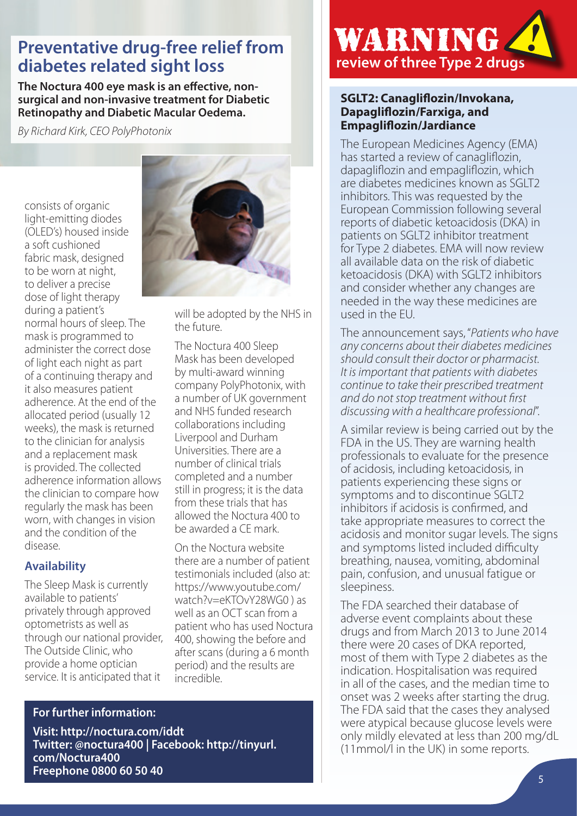# **diabetes related sight loss**

**The Noctura 400 eye mask is an effective, nonsurgical and non-invasive treatment for Diabetic Retinopathy and Diabetic Macular Oedema.**

*By Richard Kirk, CEO PolyPhotonix*

consists of organic light-emitting diodes (OLED's) housed inside a soft cushioned fabric mask, designed to be worn at night, to deliver a precise dose of light therapy during a patient's normal hours of sleep. The mask is programmed to administer the correct dose of light each night as part of a continuing therapy and it also measures patient adherence. At the end of the allocated period (usually 12 weeks), the mask is returned to the clinician for analysis and a replacement mask is provided. The collected adherence information allows the clinician to compare how regularly the mask has been worn, with changes in vision and the condition of the disease.

#### **Availability**

The Sleep Mask is currently available to patients' privately through approved optometrists as well as through our national provider, The Outside Clinic, who provide a home optician service. It is anticipated that it



will be adopted by the NHS in the future.

The Noctura 400 Sleep Mask has been developed by multi-award winning company PolyPhotonix, with a number of UK government and NHS funded research collaborations including Liverpool and Durham Universities. There are a number of clinical trials completed and a number still in progress; it is the data from these trials that has allowed the Noctura 400 to be awarded a CE mark.

On the Noctura website there are a number of patient testimonials included (also at: https://www.youtube.com/ watch?v=eKTOvY28WG0 ) as well as an OCT scan from a patient who has used Noctura 400, showing the before and after scans (during a 6 month period) and the results are incredible.

#### **For further information:**

**Visit: http://noctura.com/iddt Twitter: @noctura400 | Facebook: http://tinyurl. com/Noctura400 Freephone 0800 60 50 40**



#### **SGLT2: Canagliflozin/Invokana, Dapagliflozin/Farxiga, and Empagliflozin/Jardiance**

The European Medicines Agency (EMA) has started a review of canagliflozin, dapagliflozin and empagliflozin, which are diabetes medicines known as SGLT2 inhibitors. This was requested by the European Commission following several reports of diabetic ketoacidosis (DKA) in patients on SGLT2 inhibitor treatment for Type 2 diabetes. EMA will now review all available data on the risk of diabetic ketoacidosis (DKA) with SGLT2 inhibitors and consider whether any changes are needed in the way these medicines are used in the EU.

The announcement says, "*Patients who have any concerns about their diabetes medicines should consult their doctor or pharmacist. It is important that patients with diabetes continue to take their prescribed treatment and do not stop treatment without first discussing with a healthcare professional*".

A similar review is being carried out by the FDA in the US. They are warning health professionals to evaluate for the presence of acidosis, including ketoacidosis, in patients experiencing these signs or symptoms and to discontinue SGLT2 inhibitors if acidosis is confirmed, and take appropriate measures to correct the acidosis and monitor sugar levels. The signs and symptoms listed included difficulty breathing, nausea, vomiting, abdominal pain, confusion, and unusual fatigue or sleepiness.

The FDA searched their database of adverse event complaints about these drugs and from March 2013 to June 2014 there were 20 cases of DKA reported, most of them with Type 2 diabetes as the indication. Hospitalisation was required in all of the cases, and the median time to onset was 2 weeks after starting the drug. The FDA said that the cases they analysed were atypical because glucose levels were only mildly elevated at less than 200 mg/dL (11mmol/l in the UK) in some reports.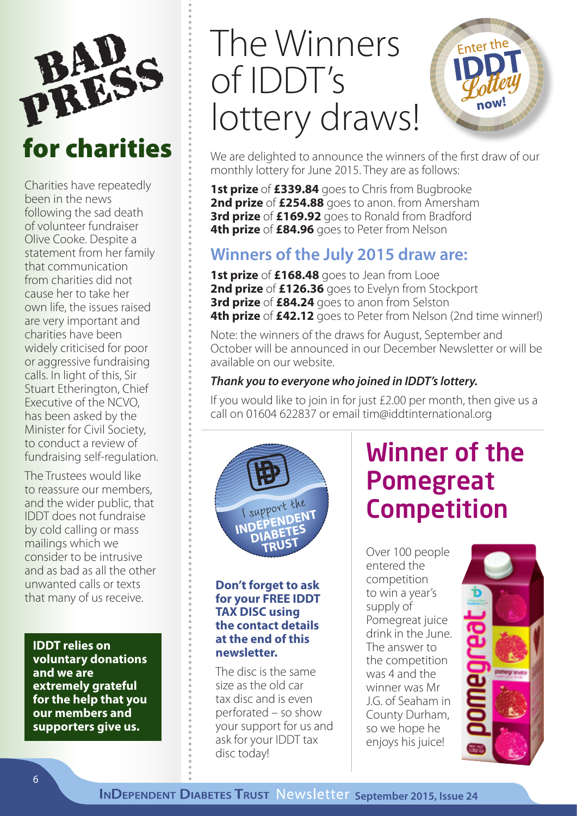

Charities have repeatedly been in the news following the sad death of volunteer fundraiser Olive Cooke. Despite a statement from her family that communication from charities did not cause her to take her own life, the issues raised are very important and charities have been widely criticised for poor or aggressive fundraising calls. In light of this, Sir Stuart Etherington, Chief Executive of the NCVO, has been asked by the Minister for Civil Society, to conduct a review of fundraising self-regulation.

The Trustees would like to reassure our members, and the wider public, that IDDT does not fundraise by cold calling or mass mailings which we consider to be intrusive and as bad as all the other unwanted calls or texts that many of us receive.

**IDDT relies on voluntary donations and we are extremely grateful for the help that you our members and supporters give us.**

# The Winners of IDDT's lottery draws!



We are delighted to announce the winners of the first draw of our monthly lottery for June 2015. They are as follows:

**1st prize** of **£339.84** goes to Chris from Bugbrooke **2nd prize** of **£254.88** goes to anon. from Amersham **3rd prize** of **£169.92** goes to Ronald from Bradford **4th prize** of **£84.96** goes to Peter from Nelson

## **Winners of the July 2015 draw are:**

**1st prize** of **£168.48** goes to Jean from Looe **2nd prize** of **£126.36** goes to Evelyn from Stockport **3rd prize** of **£84.24** goes to anon from Selston **4th prize** of £42.12 goes to Peter from Nelson (2nd time winner!)

Note: the winners of the draws for August, September and October will be announced in our December Newsletter or will be available on our website.

#### *Thank you to everyone who joined in IDDT's lottery.*

If you would like to join in for just £2.00 per month, then give us a call on 01604 622837 or email tim@iddtinternational.org



#### **Don't forget to ask for your FREE IDDT TAX DISC using the contact details at the end of this newsletter.**

The disc is the same size as the old car tax disc and is even perforated – so show your support for us and ask for your IDDT tax disc today!

## Winner of the Pomegreat Competition

Over 100 people entered the competition to win a year's supply of Pomegreat juice drink in the June. The answer to the competition was 4 and the winner was Mr J.G. of Seaham in County Durham, so we hope he enjoys his juice!

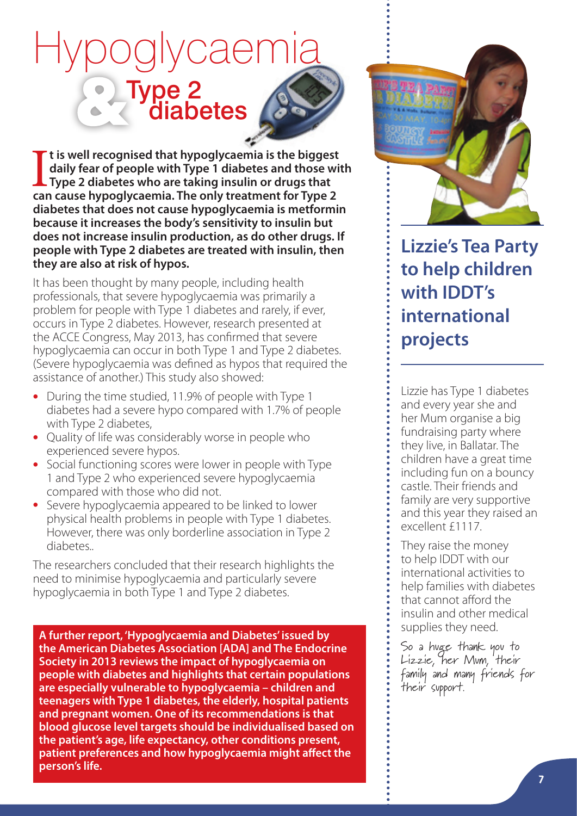# Hypoglycaemia Type 2 diabetes

It is well recognised that hypoglycaemia is the biggest<br>daily fear of people with Type 1 diabetes and those wi<br>Type 2 diabetes who are taking insulin or drugs that<br>can cause hypoglycaemia. The only treatment for Type 2 **t is well recognised that hypoglycaemia is the biggest daily fear of people with Type 1 diabetes and those with Type 2 diabetes who are taking insulin or drugs that diabetes that does not cause hypoglycaemia is metformin because it increases the body's sensitivity to insulin but does not increase insulin production, as do other drugs. If people with Type 2 diabetes are treated with insulin, then they are also at risk of hypos.** 

It has been thought by many people, including health professionals, that severe hypoglycaemia was primarily a problem for people with Type 1 diabetes and rarely, if ever, occurs in Type 2 diabetes. However, research presented at the ACCE Congress, May 2013, has confirmed that severe hypoglycaemia can occur in both Type 1 and Type 2 diabetes. (Severe hypoglycaemia was defined as hypos that required the assistance of another.) This study also showed:

- During the time studied, 11.9% of people with Type 1 diabetes had a severe hypo compared with 1.7% of people with Type 2 diabetes,
- Quality of life was considerably worse in people who experienced severe hypos.
- Social functioning scores were lower in people with Type 1 and Type 2 who experienced severe hypoglycaemia compared with those who did not.
- Severe hypoglycaemia appeared to be linked to lower physical health problems in people with Type 1 diabetes. However, there was only borderline association in Type 2 diabetes..

The researchers concluded that their research highlights the need to minimise hypoglycaemia and particularly severe hypoglycaemia in both Type 1 and Type 2 diabetes.

**A further report, 'Hypoglycaemia and Diabetes' issued by the American Diabetes Association [ADA] and The Endocrine Society in 2013 reviews the impact of hypoglycaemia on people with diabetes and highlights that certain populations are especially vulnerable to hypoglycaemia – children and teenagers with Type 1 diabetes, the elderly, hospital patients and pregnant women. One of its recommendations is that blood glucose level targets should be individualised based on the patient's age, life expectancy, other conditions present, patient preferences and how hypoglycaemia might affect the person's life.**



## **Lizzie's Tea Party to help children with IDDT's international projects**

Lizzie has Type 1 diabetes and every year she and her Mum organise a big fundraising party where they live, in Ballatar. The children have a great time including fun on a bouncy castle. Their friends and family are very supportive and this year they raised an excellent £1117.

They raise the money to help IDDT with our international activities to help families with diabetes that cannot afford the insulin and other medical supplies they need.

So a huge thank you to Lizzie, her Mum, their family and many friends for their support.